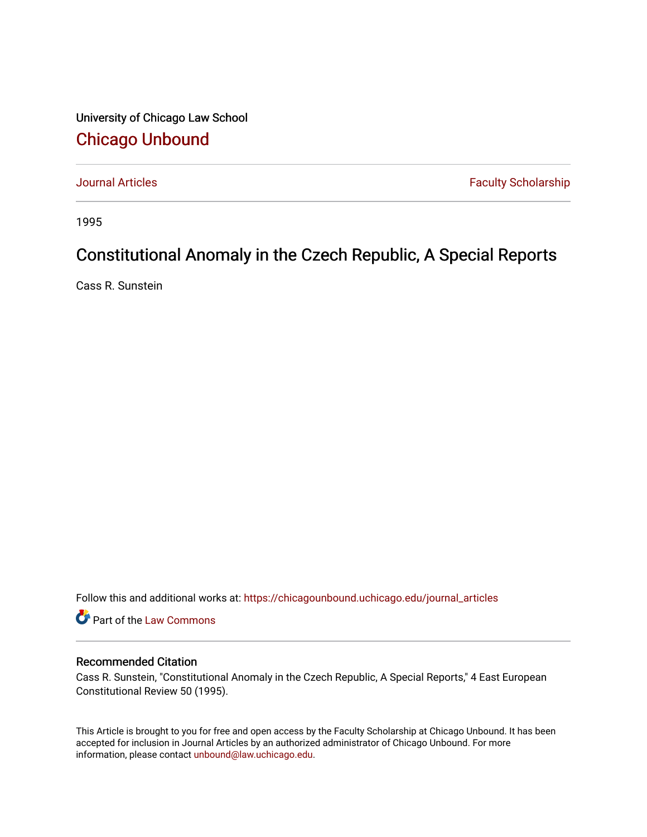University of Chicago Law School [Chicago Unbound](https://chicagounbound.uchicago.edu/)

[Journal Articles](https://chicagounbound.uchicago.edu/journal_articles) **Faculty Scholarship Faculty Scholarship** 

1995

## Constitutional Anomaly in the Czech Republic, A Special Reports

Cass R. Sunstein

Follow this and additional works at: [https://chicagounbound.uchicago.edu/journal\\_articles](https://chicagounbound.uchicago.edu/journal_articles?utm_source=chicagounbound.uchicago.edu%2Fjournal_articles%2F8333&utm_medium=PDF&utm_campaign=PDFCoverPages) 

Part of the [Law Commons](http://network.bepress.com/hgg/discipline/578?utm_source=chicagounbound.uchicago.edu%2Fjournal_articles%2F8333&utm_medium=PDF&utm_campaign=PDFCoverPages)

## Recommended Citation

Cass R. Sunstein, "Constitutional Anomaly in the Czech Republic, A Special Reports," 4 East European Constitutional Review 50 (1995).

This Article is brought to you for free and open access by the Faculty Scholarship at Chicago Unbound. It has been accepted for inclusion in Journal Articles by an authorized administrator of Chicago Unbound. For more information, please contact [unbound@law.uchicago.edu](mailto:unbound@law.uchicago.edu).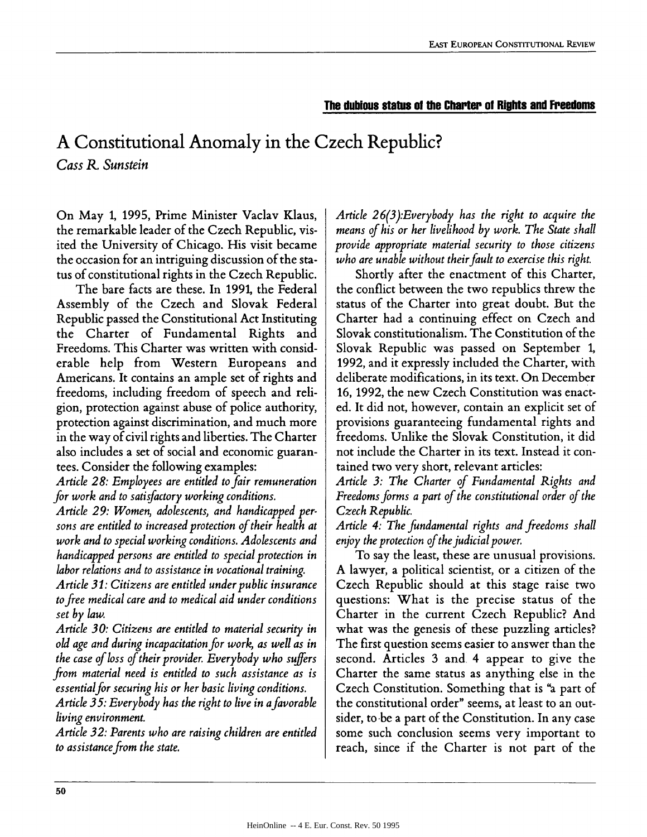## **The dubious status of the Charter of Rights and Freedoms**

## **A Constitutional Anomaly in the Czech Republic?** *Cass R. Sunstein*

On May 1, 1995, Prime Minister Vaclav Klaus, the remarkable leader of the Czech Republic, visited the University of Chicago. His visit became the occasion for an intriguing discussion of the status of constitutional rights in the Czech Republic.

The bare facts are these. In 1991, the Federal Assembly of the Czech and Slovak Federal Republic passed the Constitutional Act Instituting the Charter of Fundamental Rights and Freedoms. This Charter was written with considerable help from Western Europeans and Americans. It contains an ample set of rights and freedoms, including freedom of speech and religion, protection against abuse of police authority, protection against discrimination, and much more in the way of civil rights and liberties. The Charter also includes a set of social and economic guarantees. Consider the following examples:

*Article 28: Employees are entitled to fair remuneration for work and to satisfactory working conditions.*

*Article 29: Women, adolescents, and handicapped persons are entitled to increased protection of their health at work and to special working conditions. Adolescents and handicapped persons are entitled to special protection in labor relations and to assistance in vocational training.*

*Article 31: Citizens are entitled under public insurance to free medical care and to medical aid under conditions set by law.*

*Article 30: Citizens are entitled to material security in old age and during incapacitation for work, as well as in the case of loss of their provider. Everybody who suffers from material need is entitled to such assistance as is essentialfor securing his or her basic living conditions.*

*Article 35: Everybody has the right to live in afavorable living environment.*

*Article 32: Parents who are raising children are entitled to assistance from the state.*

*Article 26(3):Everybody has the right to acquire the means of his or her livelihood by work. The State shall provide appropriate material security to those citizens who are unable without their fault to exercise this right.*

Shortly after the enactment of this Charter, the conflict between the two republics threw the status of the Charter into great doubt. But the Charter had a continuing effect on Czech and Slovak constitutionalism. The Constitution of the Slovak Republic was passed on September 1, 1992, and it expressly included the Charter, with deliberate modifications, in its text. On December 16, 1992, the new Czech Constitution was enacted. It did not, however, contain an explicit set of provisions guaranteeing fundamental rights and freedoms. Unlike the Slovak Constitution, it did not include the Charter in its text. Instead it contained two very short, relevant articles:

*Article 3: The Charter of Fundamental Rights and Freedoms forms a part of the constitutional order of the Czech Republic.*

*Article 4: The fundamental rights and freedoms shall enjoy the protection of the judicial power.*

To say the least, these are unusual provisions. A lawyer, a political scientist, or a citizen of the Czech Republic should at this stage raise two questions: What is the precise status of the Charter in the current Czech Republic? And what was the genesis of these puzzling articles? The first question seems easier to answer than the second. Articles 3 and 4 appear to give the Charter the same status as anything else in the Czech Constitution. Something that is "a part of the constitutional order" seems, at least to an outsider, to -be a part of the Constitution. In any case some such conclusion seems very important to reach, since if the Charter is not part of the